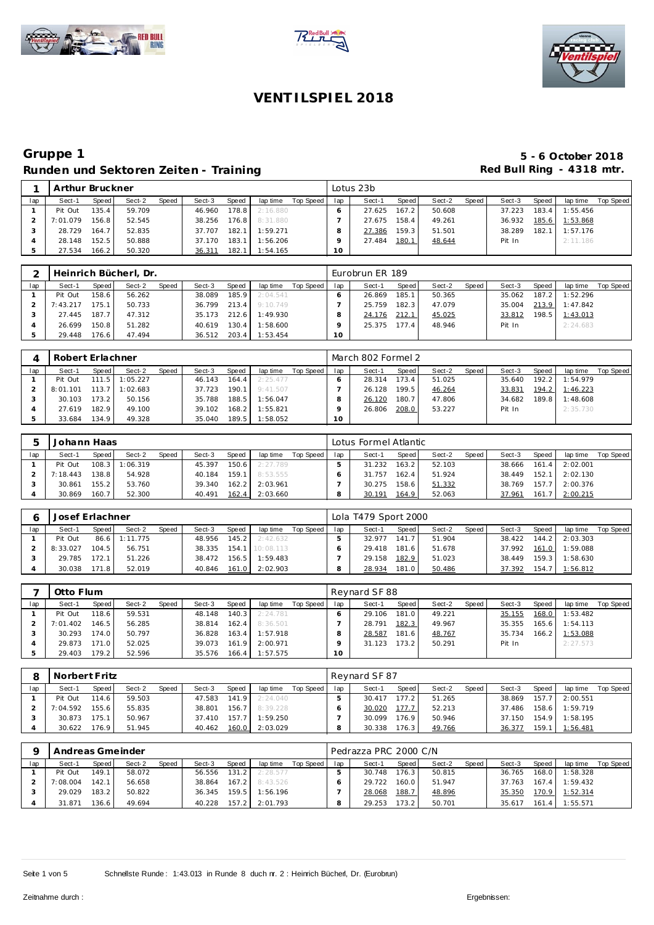





## **Gruppe 1 5 - 6 October 2018** Runden und Sektoren Zeiten - Training **Runden und Sektoren Zeiten - Training Red Bull Ring - 4318 mtr.**

|     | Arthur Bruckner |       |        |       |        |       |          |           |                 | Lotus 23b |       |        |       |        |       |          |           |
|-----|-----------------|-------|--------|-------|--------|-------|----------|-----------|-----------------|-----------|-------|--------|-------|--------|-------|----------|-----------|
| lap | Sect-1          | Speed | Sect-2 | Speed | Sect-3 | Speed | lap time | Top Speed | lap             | Sect-1    | Speed | Sect-2 | Speed | Sect-3 | Speed | lap time | Top Speed |
|     | Pit Out         | 135.4 | 59.709 |       | 46.960 | 178.8 | 2:16.880 |           |                 | 27.625    | 167.2 | 50.608 |       | 37.223 | 183.4 | 1:55.456 |           |
|     | 7:01.079        | 156.8 | 52.545 |       | 38.256 | 176.8 | 8:31.880 |           |                 | 27.675    | 158.4 | 49.261 |       | 36.932 | 185.6 | 1:53.868 |           |
|     | 28.729          | 164.7 | 52.835 |       | 37.707 | 182.1 | 1:59.271 |           |                 | 27.386    | 159.3 | 51.501 |       | 38.289 | 182.1 | 1:57.176 |           |
|     | 28.148          | 152.5 | 50.888 |       | 37.170 | 183.1 | 1:56.206 |           |                 | 27.484    | 180.1 | 48.644 |       | Pit In |       | 2:11.186 |           |
|     | 27.534          | 166.2 | 50.320 |       | 36.311 | 182.1 | 1:54.165 |           | 10 <sup>°</sup> |           |       |        |       |        |       |          |           |

|     |          |       | Heinrich Bücherl, Dr. |       |        |       |          |           |     | Eurobrun ER 189 |       |        |       |        |       |          |           |
|-----|----------|-------|-----------------------|-------|--------|-------|----------|-----------|-----|-----------------|-------|--------|-------|--------|-------|----------|-----------|
| lap | Sect-1   | Speed | Sect-2                | Speed | Sect-3 | Speed | lap time | Top Speed | lap | Sect-1          | Speed | Sect-2 | Speed | Sect-3 | Speed | lap time | Top Speed |
|     | Pit Out  | 158.6 | 56.262                |       | 38.089 | 185.9 | 2:04.541 |           |     | 26.869          | 185.1 | 50.365 |       | 35.062 | 187.2 | 1:52.296 |           |
|     | 7:43.217 | 175.1 | 50.733                |       | 36.799 | 213.4 | 9:10.749 |           |     | 25.759          | 182.3 | 47.079 |       | 35.004 | 213.9 | 1:47.842 |           |
|     | 27.445   | 187.7 | 47.312                |       | 35.173 | 212.6 | 1:49.930 |           |     | 24.176          | 212.1 | 45.025 |       | 33.812 | 198.5 | 1:43.013 |           |
|     | 26.699   | 150.8 | 51.282                |       | 40.619 | 130.4 | 1:58.600 |           |     | 25.375          | 177.4 | 48.946 |       | Pit In |       | 2:24.683 |           |
|     | 29.448   | 176.6 | 47.494                |       | 36.512 | 203.4 | 1:53.454 |           | 10  |                 |       |        |       |        |       |          |           |

|     | Robert Erlachner |       |          |       |        |        |          |           |        | March 802 Formel 2 |       |        |       |        |       |          |                  |
|-----|------------------|-------|----------|-------|--------|--------|----------|-----------|--------|--------------------|-------|--------|-------|--------|-------|----------|------------------|
| lap | Sect-1           | Speed | Sect-2   | Speed | Sect-3 | Speed  | lap time | Top Speed | lap    | Sect-1             | Speed | Sect-2 | Speed | Sect-3 | Speed | lap time | <b>Top Speed</b> |
|     | Pit Out          | 111.5 | 1:05.227 |       | 46.143 | 164.4  | 2:25.477 |           |        | 28.314             | 173.4 | 51.025 |       | 35.640 | 192.2 | 1:54.979 |                  |
|     | 8:01.101         | 113.7 | 1:02.683 |       | 37.723 | 190.1  | 9:41.507 |           |        | 26.128             | 199.5 | 46.264 |       | 33.831 | 194.2 | 1:46.223 |                  |
|     | 30.103           | 173.2 | 50.156   |       | 35.788 | 188.5  | 1:56.047 |           |        | 26.120             | 180.7 | 47.806 |       | 34.682 | 189.8 | 1:48.608 |                  |
|     | 27.619           | 182.9 | 49.100   |       | 39.102 | 168.2  | 1:55.821 |           |        | 26.806             | 208.0 | 53.227 |       | Pit In |       | 2:35.730 |                  |
|     | 33.684           | 134.9 | 49.328   |       | 35.040 | 189.51 | 1:58.052 |           | $10-1$ |                    |       |        |       |        |       |          |                  |

| ь   | Johann Haas |        |          |              |        |       |          |           |     | Lotus Formel Atlantic |       |        |              |        |       |          |           |
|-----|-------------|--------|----------|--------------|--------|-------|----------|-----------|-----|-----------------------|-------|--------|--------------|--------|-------|----------|-----------|
| lap | Sect-1      | Speed  | Sect-2   | <b>Speed</b> | Sect-3 | Speed | lap time | Top Speed | lap | Sect-1                | Speed | Sect-2 | <b>Speed</b> | Sect-3 | Speed | lap time | Top Speed |
|     | Pit Out     | 108.3  | 1:06.319 |              | 45.397 | 150.6 | 2:27.789 |           |     | 31.232                | 163.2 | 52.103 |              | 38.666 | 161.4 | 2:02.001 |           |
|     | 7:18.443    | 138.8  | 54.928   |              | 40.184 | 159.1 | 8:53.555 |           |     | 31.757                | 162.4 | 51.924 |              | 38.449 | 152.1 | 2:02.130 |           |
|     | 30.861      | 155.21 | 53.760   |              | 39.340 | 162.2 | 2:03.961 |           |     | 30.275                | 158.6 | 51.332 |              | 38.769 | 157.7 | 2:00.376 |           |
|     | 30.869      | 160.7  | 52.300   |              | 40.491 | 162.4 | 2:03.660 |           |     | 30.191                | 164.9 | 52.063 |              | 37.961 | 161.7 | 2:00.215 |           |

|     | Josef Erlachner |        |               |              |        |       |                 |           |     | Lola T479 Sport 2000 |       |        |       |        |       |                  |           |
|-----|-----------------|--------|---------------|--------------|--------|-------|-----------------|-----------|-----|----------------------|-------|--------|-------|--------|-------|------------------|-----------|
| lap | Sect-1          | Speed  | Sect-2        | <b>Speed</b> | Sect-3 | Speed | lap time        | Top Speed | lap | Sect-1               | Speed | Sect-2 | Speed | Sect-3 | Speed | lap time         | Top Speed |
|     | Pit Out         |        | 86.6 1:11.775 |              | 48.956 | 145.2 | 2:42.632        |           |     | 32.977               | 141.7 | 51.904 |       | 38.422 |       | $144.2$ 2:03.303 |           |
|     | 8:33.027        | 104.5  | 56.751        |              | 38.335 |       | 154.1 10:08.113 |           |     | 29.418               | 181.6 | 51.678 |       | 37.992 | 161.0 | 1:59.088         |           |
|     | 29.785          | 172.1  | 51.226        |              | 38.472 | 156.5 | 1:59.483        |           |     | 29.158               | 182.9 | 51.023 |       | 38.449 | 159.3 | 1:58.630         |           |
|     | 30.038          | 171.81 | 52.019        |              | 40.846 | 161.0 | 2:02.903        |           |     | 28.934               | 181.0 | 50.486 |       | 37.392 | 154.7 | 1:56.812         |           |

|     | Otto Flum |       |        |              |        |       |          |           |     | Reynard SF 88 |       |        |       |        |       |                  |           |
|-----|-----------|-------|--------|--------------|--------|-------|----------|-----------|-----|---------------|-------|--------|-------|--------|-------|------------------|-----------|
| lap | Sect-1    | Speed | Sect-2 | <b>Speed</b> | Sect-3 | Speed | lap time | Top Speed | lap | Sect-1        | Speed | Sect-2 | Speed | Sect-3 | Speed | lap time         | Top Speed |
|     | Pit Out   | 118.6 | 59.531 |              | 48.148 | 140.3 | 2:24.781 |           |     | 29.106        | 181.0 | 49.221 |       | 35.155 | 168.0 | 1:53.482         |           |
|     | 7:01.402  | 146.5 | 56.285 |              | 38.814 | 162.4 | 8:36.501 |           |     | 28.791        | 182.3 | 49.967 |       | 35.355 |       | $165.6$ 1:54.113 |           |
|     | 30.293    | 174.0 | 50.797 |              | 36.828 | 163.4 | 1:57.918 |           |     | 28.587        | 181.6 | 48.767 |       | 35.734 |       | 166.2 1:53.088   |           |
|     | 29.873    | 171.0 | 52.025 |              | 39.073 | 161.9 | 2:00.971 |           |     | 31.123        | 173.2 | 50.291 |       | Pit In |       | 2:27.573         |           |
|     | 29.403    | 179.2 | 52.596 |              | 35.576 | 166.4 | 1:57.575 |           | 10  |               |       |        |       |        |       |                  |           |

|     | Norbert Fritz |                    |        |              |        |       |          |           |     | Revnard SF 87 |         |        |       |        |       |          |           |
|-----|---------------|--------------------|--------|--------------|--------|-------|----------|-----------|-----|---------------|---------|--------|-------|--------|-------|----------|-----------|
| lap | Sect-1        | Speed I            | Sect-2 | <b>Speed</b> | Sect-3 | Speed | lap time | Top Speed | lap | Sect-1        | Speed ! | Sect-2 | Speed | Sect-3 | Speed | lap time | Top Speed |
|     | Pit Out       | 114.6              | 59.503 |              | 47.583 | 141.9 | 2:24.040 |           |     | 30.417        | 177.2   | 51.265 |       | 38.869 | 157.7 | 2:00.551 |           |
|     | 7:04.592      | 155.6              | 55.835 |              | 38.801 | 156.7 | 8:39.228 |           |     | 30.020        | 177.7   | 52.213 |       | 37.486 | 158.6 | 1:59.719 |           |
|     | 30.873        | 175.1              | 50.967 |              | 37.410 | 157.7 | 1:59.250 |           |     | 30.099        | 176.9   | 50.946 |       | 37.150 | 154.9 | 1:58.195 |           |
|     | 30.622        | 176.9 <sub>1</sub> | 51.945 |              | 40.462 | 160.0 | 2:03.029 |           |     | 30.338        | 176.3   | 49.766 |       | 36.377 | 159.1 | 1:56.481 |           |

|     | Andreas Gmeinder |        |        |       |        |                 |                       |           |     | Pedrazza PRC 2000 C/N |       |        |       |        |         |          |           |
|-----|------------------|--------|--------|-------|--------|-----------------|-----------------------|-----------|-----|-----------------------|-------|--------|-------|--------|---------|----------|-----------|
| lap | Sect-1           | Speed  | Sect-2 | Speed | Sect-3 | Speed           | lap time              | Top Speed | lap | Sect-1                | Speed | Sect-2 | Speed | Sect-3 | Speed   | lap time | Top Speed |
|     | Pit Out          | 149.1  | 58.072 |       | 56.556 | 131.2           | 2:28.577              |           |     | 30.748                | 176.3 | 50.815 |       | 36.765 | 168.0   | 1:58.328 |           |
|     | 7:08.004         | 142.1  | 56.658 |       | 38.864 | $-167.2$ $\sim$ | 8:43.526              |           |     | 29.722                | 160.0 | 51.947 |       | 37.763 | $167.4$ | 1:59.432 |           |
|     | 29.029           | 183.2  | 50.822 |       |        |                 | 36.345 159.5 1:56.196 |           |     | 28.068                | 188.7 | 48.896 |       | 35.350 | 170.9   | 1:52.314 |           |
|     | 31.871           | 136.61 | 49.694 |       | 40.228 | 157.2           | 2:01.793              |           |     | 29.253                | 173.2 | 50.701 |       | 35.617 | 161.4   | 1:55.571 |           |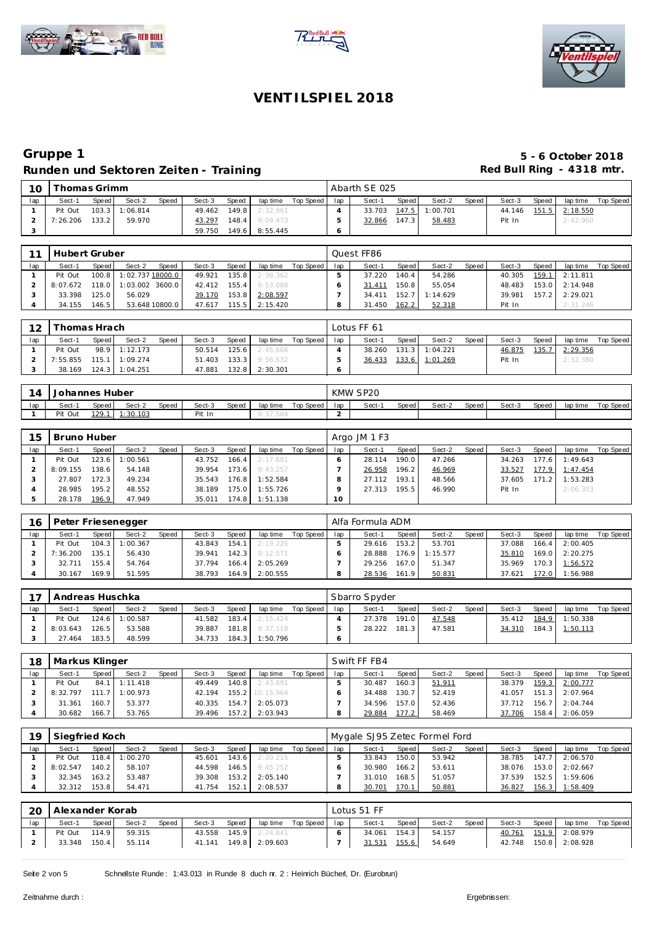





## **Gruppe 1 5 - 6 October 2018** Runden und Sektoren Zeiten - Training **Runden und Sektoren Zeiten - Training Red Bull Ring - 4318 mtr.**

| 10  |          | `homas Grimm |                |       |        |       |                    |           |     | Abarth SE 025 |       |                |       |        |       |                |           |
|-----|----------|--------------|----------------|-------|--------|-------|--------------------|-----------|-----|---------------|-------|----------------|-------|--------|-------|----------------|-----------|
| lap | Sect-1   | Speed        | Sect-2         | Speed | Sect-3 | Speed | lap time           | Top Speed | lap | Sect-1        | Speed | Sect-2         | Speed | Sect-3 | Speed | lap time       | Top Speed |
|     | Pit Out  |              | 103.3 1:06.814 |       | 49.462 | 149.8 | 2:32.961           |           |     | 33.703        |       | 147.5 1:00.701 |       | 44.146 |       | 151.5 2:18.550 |           |
|     | 7:26.206 | 133.2        | 59.970         |       | 43.297 |       | $148.4$ $9:09.473$ |           |     | 32.866        | 147.3 | 58.483         |       | Pit In |       | 2:42.960       |           |
|     |          |              |                |       | 59.750 |       | 149.6 8:55.445     |           |     |               |       |                |       |        |       |                |           |

| 11  | Hubert Gruber |       |                  |       |        |       |          |             |     | Ouest FF86 |                    |          |       |        |       |          |           |
|-----|---------------|-------|------------------|-------|--------|-------|----------|-------------|-----|------------|--------------------|----------|-------|--------|-------|----------|-----------|
| lap | Sect-1        | Speed | Sect-2           | Speed | Sect-3 | Speed | lap time | Top Speed I | lap | Sect-1     | Speed              | Sect-2   | Speed | Sect-3 | Speed | lap time | Top Speed |
|     | Pit Out       | 100.8 | 1:02.737 18000.0 |       | 49.921 | 135.8 | 2:36.362 |             |     | 37.220     | 140.4 <sub>1</sub> | 54.286   |       | 40.305 | 159.1 | 2:11.811 |           |
|     | 8:07.672      | 118.0 | 1:03.002 3600.0  |       | 42.412 | 155.4 | 9:53.086 |             |     | 31.411     | 150.8              | 55.054   |       | 48.483 | 153.0 | 2:14.948 |           |
|     | 33.398        | 125.0 | 56.029           |       | 39.170 | 153.8 | 2:08.597 |             |     | 34.411     | 152.7              | 1:14.629 |       | 39.981 | 157.2 | 2:29.021 |           |
|     | 34.155        | 146.5 | 53.648 10800.0   |       | 47.617 | 115.5 | 2:15.420 |             |     | 31.450     | 162.2              | 52.318   |       | Pit In |       | 2:31.246 |           |

| 12  | <sup>-</sup> homas Hrach |       |                  |              |        |        |          |             |     | Lotus FF 61 |       |                |       |        |       |          |           |
|-----|--------------------------|-------|------------------|--------------|--------|--------|----------|-------------|-----|-------------|-------|----------------|-------|--------|-------|----------|-----------|
| lap | Sect-1                   | Speed | Sect-2           | <b>Speed</b> | Sect-3 | Speed  | lap time | Top Speed I | lap | Sect-1      | Speed | Sect-2         | Speed | Sect-3 | Speed | lap time | Top Speed |
|     | Pit Out                  |       | 98.9 1:12.173    |              | 50.514 | 125.6  | 2:45.666 |             |     | 38.260      |       | 131.3 1:04.221 |       | 46.875 | 135.7 | 2:29.356 |           |
|     | 7:55.855                 |       | $115.1$ 1:09.274 |              | 51.403 | 133.3  | 9:56.532 |             |     | 36.433      |       | 133.6 1:01.269 |       | Pit In |       | 2:32.380 |           |
|     | 38.169                   |       | 124.3 1:04.251   |              | 47.881 | 132.81 | 2:30.301 |             |     |             |       |                |       |        |       |          |           |

| 14  | Johannes Huber |                                                                             |          |  |        |  |  |  |  | KMW SP20 |       |        |       |        |       |          |           |
|-----|----------------|-----------------------------------------------------------------------------|----------|--|--------|--|--|--|--|----------|-------|--------|-------|--------|-------|----------|-----------|
| lap | Sect-          | <b>Speed</b><br>Speed<br>Top Speed<br>Sect-2<br>Sect-3<br>Speed<br>lap time |          |  |        |  |  |  |  | Sect-    | Speed | Sect-2 | Speed | Sect-3 | Speed | lap time | Top Speed |
|     | Pit Out        | 129.1                                                                       | 1:30.103 |  | Pit In |  |  |  |  |          |       |        |       |        |       |          |           |

| 15  | Bruno Huber |        |          |       |        |        |          |           |     | Argo JM 1 F3 |       |        |       |        |        |          |           |
|-----|-------------|--------|----------|-------|--------|--------|----------|-----------|-----|--------------|-------|--------|-------|--------|--------|----------|-----------|
| lap | Sect-1      | Speed  | Sect-2   | Speed | Sect-3 | Speed  | lap time | Top Speed | lap | Sect-1       | Speed | Sect-2 | Speed | Sect-3 | Speed  | lap time | Top Speed |
|     | Pit Out     | 123.6  | 1:00.561 |       | 43.752 | 166.4  | 2:17.681 |           |     | 28.114       | 190.0 | 47.266 |       | 34.263 | 177.61 | 1:49.643 |           |
|     | 8:09.155    | 138.61 | 54.148   |       | 39.954 | 173.6  | 9:43.257 |           |     | 26.958       | 196.2 | 46.969 |       | 33.527 | 177.9  | 1:47.454 |           |
|     | 27.807      | 172.3  | 49.234   |       | 35.543 | 176.8  | 1:52.584 |           |     | 112<br>27 i  | 193.1 | 48.566 |       | 37.605 | 171.2  | 1:53.283 |           |
|     | 28.985      | 195.2  | 48.552   |       | 38.189 | 175.01 | 1:55.726 |           |     | 27.313       | 195.5 | 46.990 |       | Pit In |        | 2:06.303 |           |
|     | 28.178      | 196.9  | 47.949   |       | 35.011 | 174.8  | 1:51.138 |           | 10  |              |       |        |       |        |        |          |           |

| 16  |          |       | Peter Friesenegger |              |        |       |                  |           |     | Alfa Formula ADM |       |          |       |        |         |          |           |
|-----|----------|-------|--------------------|--------------|--------|-------|------------------|-----------|-----|------------------|-------|----------|-------|--------|---------|----------|-----------|
| lap | Sect-1   | Speed | Sect-2             | <b>Speed</b> | Sect-3 | Speed | lap time         | Top Speed | lap | Sect-1           | Speed | Sect-2   | Speed | Sect-3 | Speed   | lap time | Top Speed |
|     | Pit Out  |       | 104.3 1:00.367     |              | 43.843 |       | $154.1$ 2:19.226 |           |     | 29.616           | 153.2 | 53.701   |       | 37.088 | 166.4   | 2:00.405 |           |
|     | 7:36.200 | 135.1 | 56.430             |              | 39.941 | 142.3 | 9:12.571         |           |     | 28.888           | 176.9 | 1:15.577 |       | 35.810 | 169.0   | 2:20.275 |           |
|     | 32.711   | 155.4 | 54.764             |              | 37.794 | 166.4 | 2:05.269         |           |     | 29.256           | 167.0 | 51.347   |       | 35.969 | 170.3   | 1:56.572 |           |
|     | 30.167   | 169.9 | 51.595             |              | 38.793 | 164.9 | 2:00.555         |           |     | 28.536           | 161.9 | 50.831   |       | 37.621 | 172.0 l | 1:56.988 |           |

| $\overline{1}$ | Andreas Huschka |       |                |              |        |         |          |           |     | Sbarro Spyder |       |        |       |        |       |                |           |
|----------------|-----------------|-------|----------------|--------------|--------|---------|----------|-----------|-----|---------------|-------|--------|-------|--------|-------|----------------|-----------|
| lap            | Sect-1          | Speed | Sect-2         | <b>Speed</b> | Sect-3 | Speed   | lap time | Top Speed | lap | Sect-1        | Speed | Sect-2 | Speed | Sect-3 | Speed | lap time       | Top Speed |
|                | Pit Out         |       | 124.6 1:00.587 |              | 41.582 | 183.4   | 2:15.424 |           |     | 27.378        | 191.0 | 47.548 |       | 35.412 |       | 184.9 1:50.338 |           |
|                | 8:03.643        | 126.5 | 53.588         |              | 39.887 | 181.8 L | 9:37.118 |           |     | 28.222        | 181.3 | 47.581 |       | 34.310 |       | 184.3 1:50.113 |           |
|                | 27.464          | 183.5 | 48.599         |              | 34.733 | 184.3   | 1:50.796 |           |     |               |       |        |       |        |       |                |           |

| 18  | Markus Klinger |       |                  |       |        |         |           |           |     | Swift FF FB4 |       |        |       |        |       |                |           |
|-----|----------------|-------|------------------|-------|--------|---------|-----------|-----------|-----|--------------|-------|--------|-------|--------|-------|----------------|-----------|
| lap | Sect-1         | Speed | Sect-2           | Speed | Sect-3 | Speed   | lap time  | Top Speed | lap | Sect-1       | Speed | Sect-2 | Speed | Sect-3 | Speed | lap time       | Top Speed |
|     | Pit Out        |       | 84.1 1:11.418    |       | 49.449 | $140.8$ | 2:43.691  |           |     | 30.487       | 160.3 | 51.911 |       | 38.379 | 159.3 | 2:00.777       |           |
|     | 8:32.797       |       | $111.7$ 1:00.973 |       | 42.194 | 155.2   | 10:15.964 |           |     | 34.488       | 130.7 | 52.419 |       | 41.057 |       | 151.3 2:07.964 |           |
|     | 31.361         | 160.7 | 53.377           |       | 40.335 | 154.7   | 2:05.073  |           |     | 34.596       | 157.0 | 52.436 |       | 37.712 |       | 156.7 2:04.744 |           |
|     | 30.682         | 166.7 | 53.765           |       | 39.496 | 157.2   | 2:03.943  |           |     | 29.884       | 177.2 | 58.469 |       | 37.706 | 158.4 | 2:06.059       |           |

| 19  | Siegfried Koch |       |          |       |        |       |          |           |     | Mygale SJ95 Zetec Formel Ford |       |        |        |        |       |          |           |
|-----|----------------|-------|----------|-------|--------|-------|----------|-----------|-----|-------------------------------|-------|--------|--------|--------|-------|----------|-----------|
| lap | Sect-1         | Speed | Sect-2   | Speed | Sect-3 | Speed | lap time | Top Speed | lap | Sect-1                        | Speed | Sect-2 | Speed. | Sect-3 | Speed | lap time | Top Speed |
|     | Pit Out        | 118.4 | 1:00.270 |       | 45.601 | 143.6 | 2:20.215 |           |     | 33.843                        | 150.0 | 53.942 |        | 38.785 | 147.7 | 2:06.570 |           |
|     | 8:02.547       | 140.2 | 58.107   |       | 44.598 | 146.5 | 9:45.252 |           |     | 30.980                        | 166.2 | 53.611 |        | 38.076 | 153.0 | 2:02.667 |           |
|     | 32.345         | 163.2 | 53.487   |       | 39.308 | 153.2 | 2:05.140 |           |     | 31.010                        | 168.5 | 51.057 |        | 37.539 | 152.5 | 1:59.606 |           |
|     | 32.312         | 153.8 | 54.471   |       | 41.754 | 152.1 | 2:08.537 |           |     | 30.701                        | 170.1 | 50.881 |        | 36.827 | 156.3 | 1:58.409 |           |

| 20  | Alexander Korab |       |        |       |        |       |                |           |     | Lotus 51 FF |       |        |       |        |       |                |           |
|-----|-----------------|-------|--------|-------|--------|-------|----------------|-----------|-----|-------------|-------|--------|-------|--------|-------|----------------|-----------|
| lap | Sect-1          | Speed | Sect-2 | Speed | Sect-3 | Speed | lap time       | Top Speed | lap | Sect-1      | Speed | Sect-2 | Speed | Sect-3 | Speed | lap time       | Top Speed |
|     | Pit Out         | 114.9 | 59.315 |       | 43.558 | 145.9 | 2:24.841       |           |     | 34.061      | 154.3 | 54.157 |       | 40.761 |       | 151.9 2:08.979 |           |
|     | 33.348          | 150.4 | 55.114 |       | 41.141 |       | 149.8 2:09.603 |           |     | 31.531      | 155.6 | 54.649 |       | 42.748 |       | 150.8 2:08.928 |           |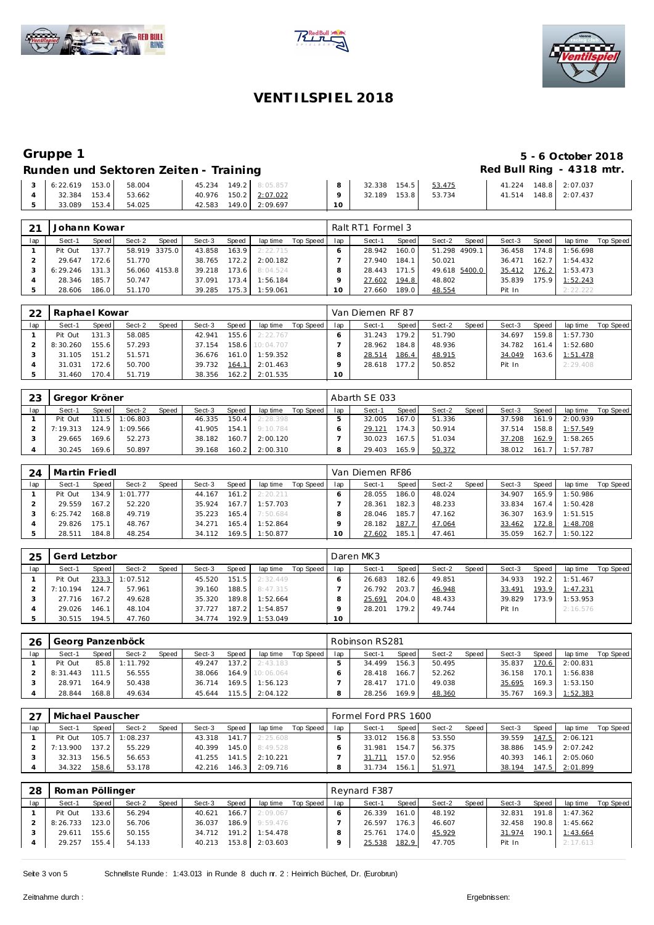





# **Gruppe 1 5 - 6 October 2018**

## Runden und Sektoren Zeiten - Training **Runden und Sektoren Zeiten - Training Red Bull Ring - 4318 mtr.**

| 6:22.619 | 153.0 | 58.004 |        | 45.234 149.2 8:05.857   | 32.338 | 154.5 | 53.475 | 41.224 | 148.8 2:07.037 |
|----------|-------|--------|--------|-------------------------|--------|-------|--------|--------|----------------|
| 32.384   | 153.4 | 53.662 |        | 40.976  150.2  2:07.022 | 32.189 | 153.8 | 53.734 | 41.514 | 148.8 2:07.437 |
| 33.089   | 153.4 | 54.025 | 42.583 | 149.0 2:09.697          |        |       |        |        |                |

| 21  | Johann Kowar |                    |               |       |        |       |                |           |     | Ralt RT1 Formel 3 |         |                 |        |       |          |           |
|-----|--------------|--------------------|---------------|-------|--------|-------|----------------|-----------|-----|-------------------|---------|-----------------|--------|-------|----------|-----------|
| lap | Sect-1       | Speed              | Sect-2        | Speed | Sect-3 | Speed | lap time       | Top Speed | lap | Sect-1            | Speed   | Sect-2<br>Speed | Sect-3 | Speed | lap time | Top Speed |
|     | Pit Out      | 137.7              | 58.919 3375.0 |       | 43.858 | 163.9 | 2:22.715       |           |     | 28.942            | 160.0   | 51.298 4909.1   | 36.458 | 174.8 | 1:56.698 |           |
|     | 29.647       | 172.6 <sub>1</sub> | 51.770        |       | 38.765 | 172.2 | 2:00.182       |           |     | 27.940            | 184.1   | 50.021          | 36.471 | 162.7 | 1:54.432 |           |
|     | 6:29.246     | 131.3              | 56.060 4153.8 |       | 39.218 |       | 173.6 8:04.524 |           |     | 28.443            | 171.5 I | 49.618 5400.0   | 35.412 | 176.2 | 1:53.473 |           |
|     | 28.346       | 185.7              | 50.747        |       | 37.091 | 173.4 | 1:56.184       |           |     | 27.602            | 194.8   | 48.802          | 35.839 | 175.9 | 1:52.243 |           |
|     | 28.606       | 186.0              | 51.170        |       | 39.285 | 175.3 | 1:59.061       |           | 10  | 27.660            | 189.0   | 48.554          | Pit In |       | 2:22.222 |           |

| 22  | Raphael Kowar |       |        |       |        |       |           |           |     | Van Diemen RF 87 |       |        |       |        |       |          |           |
|-----|---------------|-------|--------|-------|--------|-------|-----------|-----------|-----|------------------|-------|--------|-------|--------|-------|----------|-----------|
| lap | Sect-1        | Speed | Sect-2 | Speed | Sect-3 | Speed | lap time  | Top Speed | lap | Sect-1           | Speed | Sect-2 | Speed | Sect-3 | Speed | lap time | Top Speed |
|     | Pit Out       | 131.3 | 58.085 |       | 42.941 | 155.6 | 2:22.767  |           |     | 31.243           | 179.2 | 51.790 |       | 34.697 | 159.8 | 1:57.730 |           |
|     | 8:30.260      | 155.6 | 57.293 |       | 37.154 | 158.6 | 10:04.707 |           |     | 28.962           | 184.8 | 48.936 |       | 34.782 | 161.4 | 1:52.680 |           |
|     | 31.105        | 151.2 | 51.571 |       | 36.676 | 161.0 | 1:59.352  |           |     | 28.514           | 186.4 | 48.915 |       | 34.049 | 163.6 | 1:51.478 |           |
|     | 31.031        | 72.6  | 50.700 |       | 39.732 | 164.1 | 2:01.463  |           |     | 28.618           | 177.2 | 50.852 |       | Pit In |       | 2:29.408 |           |
|     | 31.460        | 170.4 | 51.719 |       | 38.356 | 162.2 | 2:01.535  |           | 10  |                  |       |        |       |        |       |          |           |

| 23  | Gregor Kröner |         |          |       |        |         |          |           |     | Abarth SE 033 |                    |        |       |        |       |          |           |
|-----|---------------|---------|----------|-------|--------|---------|----------|-----------|-----|---------------|--------------------|--------|-------|--------|-------|----------|-----------|
| lap | Sect-1        | Speed   | Sect-2   | Speed | Sect-3 | Speed   | lap time | Top Speed | lap | Sect-1        | Speed              | Sect-2 | Speed | Sect-3 | Speed | lap time | Top Speed |
|     | Pit Out       | 111.5   | 1:06.803 |       | 46.335 | $150.4$ | 2:28.398 |           |     | 32.005        | 167.0              | 51.336 |       | 37.598 | 161.9 | 2:00.939 |           |
|     | 7:19.313      | $124.9$ | 1:09.566 |       | 41.905 | 154.1   | 9:10.784 |           |     | 29.121        | 174.3 <sub>1</sub> | 50.914 |       | 37.514 | 158.8 | 1:57.549 |           |
|     | 29.665        | 169.61  | 52.273   |       | 38.182 | 160.7   | 2:00.120 |           |     | 30.023        | 167.5              | 51.034 |       | 37.208 | 162.9 | 1:58.265 |           |
|     | 30.245        | 69.6    | 50.897   |       | 39.168 | 160.2   | 2:00.310 |           |     | 29.403        | 165.9              | 50.372 |       | 38.012 | 161.  | 1:57.787 |           |

| 24  | Martin Friedl |       |          |              |        |                    |          |           |     | Van Diemen RF86 |       |        |       |        |       |          |           |
|-----|---------------|-------|----------|--------------|--------|--------------------|----------|-----------|-----|-----------------|-------|--------|-------|--------|-------|----------|-----------|
| lap | Sect-1        | Speed | Sect-2   | <b>Speed</b> | Sect-3 | Speed              | lap time | Top Speed | lap | Sect-1          | Speed | Sect-2 | Speed | Sect-3 | Speed | lap time | Top Speed |
|     | Pit Out       | 134.9 | 1:01.777 |              | 44.167 | 161.2              | 2:20.211 |           |     | 28.055          | 186.0 | 48.024 |       | 34.907 | 165.9 | 1:50.986 |           |
|     | 29.559        | 167.2 | 52.220   |              | 35.924 | 167.7              | 1:57.703 |           |     | 28.361          | 182.3 | 48.233 |       | 33.834 | 167.4 | 1:50.428 |           |
|     | 6:25.742      | 168.8 | 49.719   |              | 35.223 | 165.4 <sub>1</sub> | 7:50.684 |           |     | 28.046          | 185.7 | 47.162 |       | 36.307 | 163.9 | 1:51.515 |           |
|     | 29.826        | 175.1 | 48.767   |              | 34.271 | 165.4 <sub>1</sub> | 1:52.864 |           |     | 28.182          | 187.7 | 47.064 |       | 33.462 | 72.8  | 1:48.708 |           |
|     | 28.511        | 184.8 | 48.254   |              | 34.112 | 169.5 <sub>1</sub> | 1:50.877 |           |     | 27.602          | 185.1 | 47.461 |       | 35.059 | 162.7 | 1:50.122 |           |

| 25  | Gerd Letzbor |       |                |       |        |       |          |           |     | Daren MK3 |       |        |       |        |       |          |           |
|-----|--------------|-------|----------------|-------|--------|-------|----------|-----------|-----|-----------|-------|--------|-------|--------|-------|----------|-----------|
| lap | Sect-1       | Speed | Sect-2         | Speed | Sect-3 | Speed | lap time | Top Speed | lap | Sect-1    | Speed | Sect-2 | Speed | Sect-3 | Speed | lap time | Top Speed |
|     | Pit Out      |       | 233.3 1:07.512 |       | 45.520 | 151.5 | 2:32.449 |           |     | 26.683    | 182.6 | 49.851 |       | 34.933 | 192.2 | 1:51.467 |           |
|     | 7:10.194     | 124.7 | 57.961         |       | 39.160 | 188.5 | 8:47.315 |           |     | 26.792    | 203.7 | 46.948 |       | 33.491 | 193.9 | 1:47.231 |           |
|     | 27.716       | 167.2 | 49.628         |       | 35.320 | 189.8 | 1:52.664 |           |     | 25.691    | 204.0 | 48.433 |       | 39.829 | 173.9 | 1:53.953 |           |
|     | 29.026       | 146.1 | 48.104         |       | 37.727 | 187.2 | 1:54.857 |           |     | 28.201    | 179.2 | 49.744 |       | Pit In |       | 2:16.576 |           |
|     | 30.515       | 194.5 | 47.760         |       | 34.774 | 192.9 | 1:53.049 |           | 10  |           |       |        |       |        |       |          |           |

| 26  |          | Georg Panzenböck<br>Sect-2<br>Speed<br>Speed<br>Speed<br>Sect-3<br>lap time<br>Sect-1<br>137.2<br>85.8<br>1:11.792<br>2:43.183<br>49.247<br>164.9 10:06.064<br>56.555<br>111.5<br>38.066 |        |  |        |       |          |           |     | Robinson RS281 |       |        |       |        |       |          |           |
|-----|----------|------------------------------------------------------------------------------------------------------------------------------------------------------------------------------------------|--------|--|--------|-------|----------|-----------|-----|----------------|-------|--------|-------|--------|-------|----------|-----------|
| lap |          |                                                                                                                                                                                          |        |  |        |       |          | Top Speed | lap | Sect-1         | Speed | Sect-2 | Speed | Sect-3 | Speed | lap time | Top Speed |
|     | Pit Out  |                                                                                                                                                                                          |        |  |        |       |          |           |     | 34.499         | 156.3 | 50.495 |       | 35.837 | 170.6 | 2:00.831 |           |
|     | 8:31.443 |                                                                                                                                                                                          |        |  |        |       |          |           |     | 28.418         | 166.7 | 52.262 |       | 36.158 | 170.1 | 1:56.838 |           |
|     | 28.971   | 164.9                                                                                                                                                                                    | 50.438 |  | 36.714 | 169.5 | 1:56.123 |           |     | 28.417         | 171.0 | 49.038 |       | 35.695 | 169.3 | 1:53.150 |           |
|     | 28.844   | 168.8                                                                                                                                                                                    | 49.634 |  | 45.644 | 115.5 | 2:04.122 |           |     | 28.256         | 169.9 | 48.360 |       | 35.767 | 169.3 | 1:52.383 |           |

|     | Michael Pauscher<br>Sect-2<br>Speed<br>Speed<br>Sect-3<br>Sect-1<br>Speed<br>lap time<br>141.7<br>105.7<br>1:08.237<br>2:25.608<br>Pit Out<br>43.318<br>137.2<br>7:13.900<br>55.229<br>$145.0$ $\blacksquare$<br>8:49.528<br>40.399 |       |        |  |        |       |          |           |     | Formel Ford PRS 1600 |                    |        |       |        |       |          |           |
|-----|-------------------------------------------------------------------------------------------------------------------------------------------------------------------------------------------------------------------------------------|-------|--------|--|--------|-------|----------|-----------|-----|----------------------|--------------------|--------|-------|--------|-------|----------|-----------|
| lap |                                                                                                                                                                                                                                     |       |        |  |        |       |          | Top Speed | lap | Sect-1               | Speed              | Sect-2 | Speed | Sect-3 | Speed | lap time | Top Speed |
|     |                                                                                                                                                                                                                                     |       |        |  |        |       |          |           |     | 33.012               | 156.8 <sub>1</sub> | 53.550 |       | 39.559 | 147.5 | 2:06.121 |           |
|     |                                                                                                                                                                                                                                     |       |        |  |        |       |          |           |     | 31.981               | 154.7              | 56.375 |       | 38.886 | 145.9 | 2:07.242 |           |
|     | 32.313                                                                                                                                                                                                                              | 156.5 | 56.653 |  | 41.255 | 141.5 | 2:10.221 |           |     |                      | 157.0              | 52.956 |       | 40.393 | 146.1 | 2:05.060 |           |
|     | 34.322                                                                                                                                                                                                                              | 158.6 | 53.178 |  | 42.216 | 146.3 | 2:09.716 |           |     | 31.734               | 156.               | 51.971 |       | 38.194 | 147.5 | 2:01.899 |           |

| -28 | Roman Pöllinger |       |        |       |        |       |          |           |     | Reynard F387 |       |        |       |        |       |                |           |
|-----|-----------------|-------|--------|-------|--------|-------|----------|-----------|-----|--------------|-------|--------|-------|--------|-------|----------------|-----------|
| lap | Sect-1          | Speed | Sect-2 | Speed | Sect-3 | Speed | lap time | Top Speed | lap | Sect-1       | Speed | Sect-2 | Speed | Sect-3 | Speed | lap time       | Top Speed |
|     | Pit Out         | 133.6 | 56.294 |       | 40.621 | 166.7 | 2:09.067 |           |     | 26.339       | 161.0 | 48.192 |       | 32.831 |       | 191.8 1:47.362 |           |
|     | 8:26.733        | 123.0 | 56.706 |       | 36.037 | 186.9 | 9:59.476 |           |     | 26.597       | 176.3 | 46.607 |       | 32.458 | 190.8 | 1:45.662       |           |
|     | 29.611          | 155.6 | 50.155 |       | 34.712 | 191.2 | 1:54.478 |           |     | 25.761       | 174.0 | 45.929 |       | 31.974 | 190.1 | 1:43.664       |           |
|     | 29.257          | 155.4 | 54.133 |       | 40.213 | 153.8 | 2:03.603 |           |     | 25.538       | 182.9 | 47.705 |       | Pit In |       | 2:17.613       |           |
|     |                 |       |        |       |        |       |          |           |     |              |       |        |       |        |       |                |           |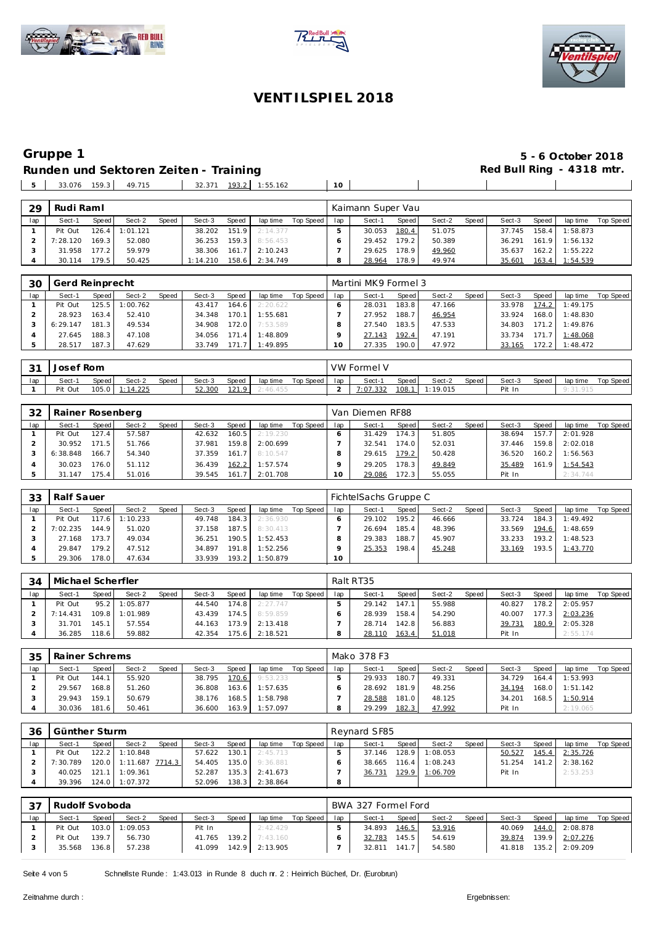





 $\overline{\phantom{a}}$ 

## **VENT ILSPIEL 2018**

# **Gruppe 1**<br> **B** - 6 October 2018<br> **Runden und Sektoren Zeiten - Training <b>1999**<br> **Example 2018**<br> **S** - 6 October 2018 **Runden und Sektoren Zeiten - Training**

 $\sim$  1

**The Common** 

33.076 159.3 49.715 32.371 193.2 1:55.162 **10**

| 29  | Rudi Raml |       |          |              |          |       |          |           |     | Kaimann Super Vau |       |        |       |        |       |          |           |
|-----|-----------|-------|----------|--------------|----------|-------|----------|-----------|-----|-------------------|-------|--------|-------|--------|-------|----------|-----------|
| lap | Sect-1    | Speed | Sect-2   | <b>Speed</b> | Sect-3   | Speed | lap time | Top Speed | lap | Sect-1            | Speed | Sect-2 | Speed | Sect-3 | Speed | lap time | Top Speed |
|     | Pit Out   | 126.4 | 1:01.121 |              | 38.202   | 151.9 | 2:14.377 |           |     | 30.053            | 180.4 | 51.075 |       | 37.745 | 158.4 | 1:58.873 |           |
|     | 7:28.120  | 169.3 | 52.080   |              | 36.253   | 159.3 | 8:56.453 |           |     | 29.452            | 179.2 | 50.389 |       | 36.291 | 161.9 | 1:56.132 |           |
|     | 31.958    | 177.2 | 59.979   |              | 38.306   | 161.7 | 2:10.243 |           |     | 29.625            | 178.9 | 49.960 |       | 35.637 | 162.2 | 1:55.222 |           |
|     | 30.114    | 179.5 | 50.425   |              | 1:14.210 | 158.6 | 2:34.749 |           |     | 28.964            | 178.9 | 49.974 |       | 35.601 | 163.4 | 1:54.539 |           |

| 30  |          | Gerd Reinprecht<br>Sect-2<br>Speed<br>Speed<br>Sect-3<br>Speed<br>125.5<br>1:00.762<br>164.6<br>43.417<br>52.410<br>163.4 l<br>170.1<br>34.348<br>172.0 |        |  |        |       |          |           |     | Martini MK9 Formel 3 |         |        |       |        |       |          |           |
|-----|----------|---------------------------------------------------------------------------------------------------------------------------------------------------------|--------|--|--------|-------|----------|-----------|-----|----------------------|---------|--------|-------|--------|-------|----------|-----------|
| lap | Sect-1   |                                                                                                                                                         |        |  |        |       | lap time | Top Speed | lap | Sect-1               | Speed ! | Sect-2 | Speed | Sect-3 | Speed | lap time | Top Speed |
|     | Pit Out  |                                                                                                                                                         |        |  |        |       | 2:20.622 |           |     | 28.031               | 183.8   | 47.166 |       | 33.978 | 174.2 | 1:49.175 |           |
|     | 28.923   |                                                                                                                                                         |        |  |        |       | 1:55.681 |           |     | 27.952               | 188.7   | 46.954 |       | 33.924 | 168.0 | 1:48.830 |           |
|     | 6:29.147 | 181.3                                                                                                                                                   | 49.534 |  | 34.908 |       | 7:53.589 |           |     | 27.540               | 183.5   | 47.533 |       | 34.803 | 171.2 | 1:49.876 |           |
|     | 27.645   | 188.3                                                                                                                                                   | 47.108 |  | 34.056 | 171.4 | 1:48.809 |           |     | 27.143               | 192.4   | 47.191 |       | 33.734 | 171.7 | 1:48.068 |           |
|     | 28.517   | 187.3                                                                                                                                                   | 47.629 |  | 33.749 | 171.7 | 1:49.895 |           | 0   | 27.335               | 190.0   | 47.972 |       | 33.165 | 72.2  | 1:48.472 |           |

| $\bigcap$ | Josef Rom |       |                  |       |        |       |          |           |     | <b>VW Formel V</b> |       |                |                    |        |       |          |           |
|-----------|-----------|-------|------------------|-------|--------|-------|----------|-----------|-----|--------------------|-------|----------------|--------------------|--------|-------|----------|-----------|
| lap       | Sect-1    | Speed | Sect-2           | Speed | Sect-3 | Speed | lap time | Top Speed | lap | Sect-1             | Speed | Sect-2         | Speed <sub>1</sub> | Sect-3 | Speed | lap time | Top Speed |
|           | Pit Out   | 105.0 | <u> 1:14.225</u> |       | 52.300 | 121.9 | 2:46.455 |           |     | 7:07.332           |       | 108.1 1:19.015 |                    | Pit In |       |          |           |

| 32  | Rainer Rosenberg |       |        |       |        |       |          |           |     | Van Diemen RF88 |       |        |       |        |       |          |                  |
|-----|------------------|-------|--------|-------|--------|-------|----------|-----------|-----|-----------------|-------|--------|-------|--------|-------|----------|------------------|
| lap | Sect-1           | Speed | Sect-2 | Speed | Sect-3 | Speed | lap time | Top Speed | lap | Sect-1          | Speed | Sect-2 | Speed | Sect-3 | Speed | lap time | <b>Top Speed</b> |
|     | Pit Out          | 127.4 | 57.587 |       | 42.632 | 160.5 | 2:19.230 |           |     | 31.429          | 174.3 | 51.805 |       | 38.694 | 157.7 | 2:01.928 |                  |
|     | 30.952           | 171.5 | 51.766 |       | 37.981 | 159.8 | 2:00.699 |           |     | 32.541          | 174.0 | 52.031 |       | 37.446 | 159.8 | 2:02.018 |                  |
|     | 6:38.848         | 166.7 | 54.340 |       | 37.359 | 161.7 | 8:10.547 |           |     | 29.615          | 179.2 | 50.428 |       | 36.520 | 160.2 | 1:56.563 |                  |
|     | 30.023           | 176.0 | 51.112 |       | 36.439 | 162.2 | 1:57.574 |           |     | 29.205          | 178.3 | 49.849 |       | 35.489 | 161.9 | 1:54.543 |                  |
|     | 31.147           | 175.4 | 51.016 |       | 39.545 | 161.7 | 2:01.708 |           | 10  | 29.086          | 172.3 | 55.055 |       | Pit In |       | 2:34.744 |                  |

| 33  | Ralf Sauer |         |          |       |        |       |          |           |     | FichtelSachs Gruppe C |       |        |       |        |       |          |           |
|-----|------------|---------|----------|-------|--------|-------|----------|-----------|-----|-----------------------|-------|--------|-------|--------|-------|----------|-----------|
| lap | Sect-1     | Speed I | Sect-2   | Speed | Sect-3 | Speed | lap time | Top Speed | lap | Sect-1                | Speed | Sect-2 | Speed | Sect-3 | Speed | lap time | Top Speed |
|     | Pit Out    | 117.6   | 1:10.233 |       | 49.748 | 184.3 | 2:36.930 |           |     | 29.102                | 195.2 | 46.666 |       | 33.724 | 184.3 | 1:49.492 |           |
|     | 7:02.235   | 144.9   | 51.020   |       | 37.158 | 187.5 | 8:30.413 |           |     | 26.694                | 185.4 | 48.396 |       | 33.569 | 194.6 | 1:48.659 |           |
|     | 27.168     | 173.7   | 49.034   |       | 36.251 | 190.5 | 1:52.453 |           |     | 29.383                | 188.7 | 45.907 |       | 33.233 | 193.2 | 1:48.523 |           |
|     | 29.847     | 179.2   | 47.512   |       | 34.897 | 191.8 | 1:52.256 |           |     | 25.353                | 198.4 | 45.248 |       | 33.169 | 193.5 | 1:43.770 |           |
|     | 29.306     | 178.0   | 47.634   |       | 33.939 | 193.2 | 1:50.879 |           | 10  |                       |       |        |       |        |       |          |           |

| 34  | Michael Scherfler |       |                |              |        |                    |          |           |     | Ralt RT35   |              |        |       |        |        |          |           |
|-----|-------------------|-------|----------------|--------------|--------|--------------------|----------|-----------|-----|-------------|--------------|--------|-------|--------|--------|----------|-----------|
| lap | Sect-1            | Speed | Sect-2         | <b>Speed</b> | Sect-3 | Speed              | lap time | Top Speed | lap | Sect-1      | <b>Speed</b> | Sect-2 | Speed | Sect-3 | Speed  | lap time | Top Speed |
|     | Pit Out           |       | 95.2 1:05.877  |              | 44.540 | 174.8 <sub>1</sub> | 2:27.747 |           |     | 29.142      | 147.1        | 55.988 |       | 40.827 | 178.2  | 2:05.957 |           |
|     | 7:14.431          |       | 109.8 1:01.989 |              | 43.439 | 174.5              | 8:59.859 |           |     | 28.939      | 158.4        | 54.290 |       | 40.007 | 177.31 | 2:03.236 |           |
|     | 31.701            | 145.1 | 57.554         |              | 44.163 | 73.9               | 2:13.418 |           |     | 28.714      | 142.8        | 56.883 |       | 39.731 | 180.9  | 2:05.328 |           |
|     | 36.285            | 18.6  | 59.882         |              | 42.354 | 75.6               | 2:18.521 |           |     | 28.1<br>110 | 163.4        | 51.018 |       | Pit In |        | 2:55.174 |           |

| -35 | Rainer Schrems |       |        |       |        |                    |          |           |     | Mako 378 F3 |       |        |       |        |       |          |           |
|-----|----------------|-------|--------|-------|--------|--------------------|----------|-----------|-----|-------------|-------|--------|-------|--------|-------|----------|-----------|
| lap | Sect-1         | Speed | Sect-2 | Speed | Sect-3 | Speed              | lap time | Top Speed | lap | Sect-1      | Speed | Sect-2 | Speed | Sect-3 | Speed | lap time | Top Speed |
|     | Pit Out        | 144.1 | 55.920 |       | 38.795 | 170.6 <sub>1</sub> | 9:53.233 |           |     | 29.933      | 180.  | 49.331 |       | 34.729 | 164.4 | 1:53.993 |           |
|     | 29.567         | 168.8 | 51.260 |       | 36.808 | 163.6              | 1:57.635 |           |     | 28.692      | 181.9 | 48.256 |       | 34.194 | 168.0 | 1:51.142 |           |
|     | 29.943         | 159.1 | 50.679 |       | 38.176 | 168.5              | 1:58.798 |           |     | 28.588      | 181.0 | 48.125 |       | 34.201 | 168.5 | 1:50.914 |           |
|     | 30.036         | 181.6 | 50.461 |       | 36.600 | 163.9              | 1:57.097 |           |     | 29.299      | 182.3 | 47.992 |       | Pit In |       | 2:19.065 |           |

| -36 | Günther Sturm |       |                       |       |        |       |          |           |     | Revnard SF85 |       |                  |       |        |       |          |           |
|-----|---------------|-------|-----------------------|-------|--------|-------|----------|-----------|-----|--------------|-------|------------------|-------|--------|-------|----------|-----------|
| lap | Sect-1        | Speed | Sect-2                | Speed | Sect-3 | Speed | lap time | Top Speed | lap | Sect-1       | Speed | Sect-2           | Speed | Sect-3 | Speed | lap time | Top Speed |
|     | Pit Out       |       | 122.2 1:10.848        |       | 57.622 | 130.1 | 2:45.713 |           |     | 37.146       | 128.9 | 1:08.053         |       | 50.527 | 145.4 | 2:35.726 |           |
|     | 7:30.789      |       | 120.0 1:11.687 7714.3 |       | 54.405 | 135.0 | 9:36.881 |           |     | 38.665       |       | $116.4$ 1:08.243 |       | 51.254 | 141.2 | 2:38.162 |           |
|     | 40.025        |       | $121.1$ 1:09.361      |       | 52.287 | 135.3 | 2:41.673 |           |     | 36.731       |       | 129.9 1:06.709   |       | Pit In |       | 2:53.253 |           |
|     | 39.396        |       | 124.0 1:07.372        |       | 52.096 | 138.3 | 2:38.864 |           |     |              |       |                  |       |        |       |          |           |

| 37  | Rudolf Svoboda |       |                |       |        |       |                  |           |     | BWA 327 Formel Ford |       |        |       |        |       |                |           |
|-----|----------------|-------|----------------|-------|--------|-------|------------------|-----------|-----|---------------------|-------|--------|-------|--------|-------|----------------|-----------|
| lap | Sect-1         | Speed | Sect-2         | Speed | Sect-3 | Speed | lap time         | Top Speed | lap | Sect-1              | Speed | Sect-2 | Speed | Sect-3 | Speed | lap time       | Top Speed |
|     | Pit Out        |       | 103.0 1:09.053 |       | Pit In |       | 2:42.429         |           |     | 34.893              | 146.5 | 53.916 |       | 40.069 |       | 144.0 2:08.878 |           |
|     | Pit Out        | 139.7 | 56.730         |       | 41.765 |       | $139.2$ 7:43.160 |           |     | 32.783              | 145.5 | 54.619 |       | 39.874 |       | 139.9 2:07.276 |           |
|     | 35.568         | 136.8 | 57.238         |       | 41.099 |       | 142.9 2:13.905   |           |     | 32.811              | 141.7 | 54.580 |       | 41.818 |       | 135.2 2:09.209 |           |